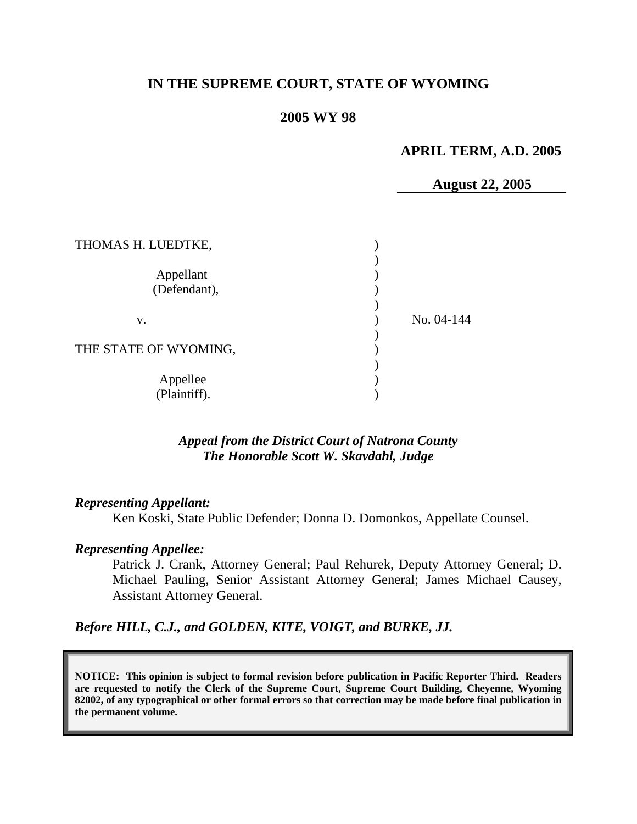# **IN THE SUPREME COURT, STATE OF WYOMING**

#### **2005 WY 98**

#### **APRIL TERM, A.D. 2005**

**August 22, 2005** 

| THOMAS H. LUEDTKE,        |            |
|---------------------------|------------|
| Appellant<br>(Defendant), |            |
| v.                        | No. 04-144 |
| THE STATE OF WYOMING,     |            |
| Appellee<br>(Plaintiff).  |            |

#### *Appeal from the District Court of Natrona County The Honorable Scott W. Skavdahl, Judge*

#### *Representing Appellant:*

Ken Koski, State Public Defender; Donna D. Domonkos, Appellate Counsel.

#### *Representing Appellee:*

Patrick J. Crank, Attorney General; Paul Rehurek, Deputy Attorney General; D. Michael Pauling, Senior Assistant Attorney General; James Michael Causey, Assistant Attorney General.

*Before HILL, C.J., and GOLDEN, KITE, VOIGT, and BURKE, JJ.* 

**NOTICE: This opinion is subject to formal revision before publication in Pacific Reporter Third. Readers are requested to notify the Clerk of the Supreme Court, Supreme Court Building, Cheyenne, Wyoming 82002, of any typographical or other formal errors so that correction may be made before final publication in the permanent volume.**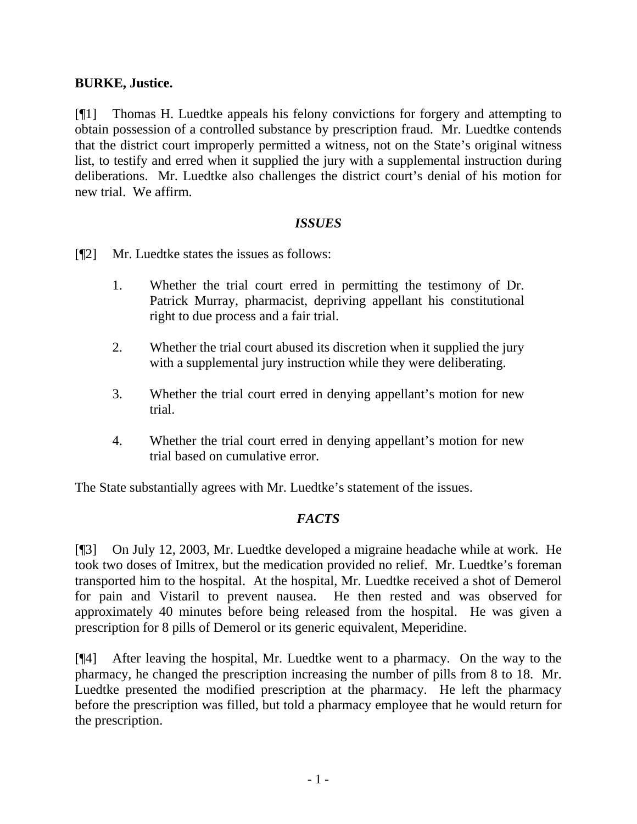## **BURKE, Justice.**

[¶1] Thomas H. Luedtke appeals his felony convictions for forgery and attempting to obtain possession of a controlled substance by prescription fraud. Mr. Luedtke contends that the district court improperly permitted a witness, not on the State's original witness list, to testify and erred when it supplied the jury with a supplemental instruction during deliberations. Mr. Luedtke also challenges the district court's denial of his motion for new trial. We affirm.

#### *ISSUES*

- [¶2] Mr. Luedtke states the issues as follows:
	- 1. Whether the trial court erred in permitting the testimony of Dr. Patrick Murray, pharmacist, depriving appellant his constitutional right to due process and a fair trial.
	- 2. Whether the trial court abused its discretion when it supplied the jury with a supplemental jury instruction while they were deliberating.
	- 3. Whether the trial court erred in denying appellant's motion for new trial.
	- 4. Whether the trial court erred in denying appellant's motion for new trial based on cumulative error.

The State substantially agrees with Mr. Luedtke's statement of the issues.

## *FACTS*

[¶3] On July 12, 2003, Mr. Luedtke developed a migraine headache while at work. He took two doses of Imitrex, but the medication provided no relief. Mr. Luedtke's foreman transported him to the hospital. At the hospital, Mr. Luedtke received a shot of Demerol for pain and Vistaril to prevent nausea. He then rested and was observed for approximately 40 minutes before being released from the hospital. He was given a prescription for 8 pills of Demerol or its generic equivalent, Meperidine.

[¶4] After leaving the hospital, Mr. Luedtke went to a pharmacy. On the way to the pharmacy, he changed the prescription increasing the number of pills from 8 to 18. Mr. Luedtke presented the modified prescription at the pharmacy. He left the pharmacy before the prescription was filled, but told a pharmacy employee that he would return for the prescription.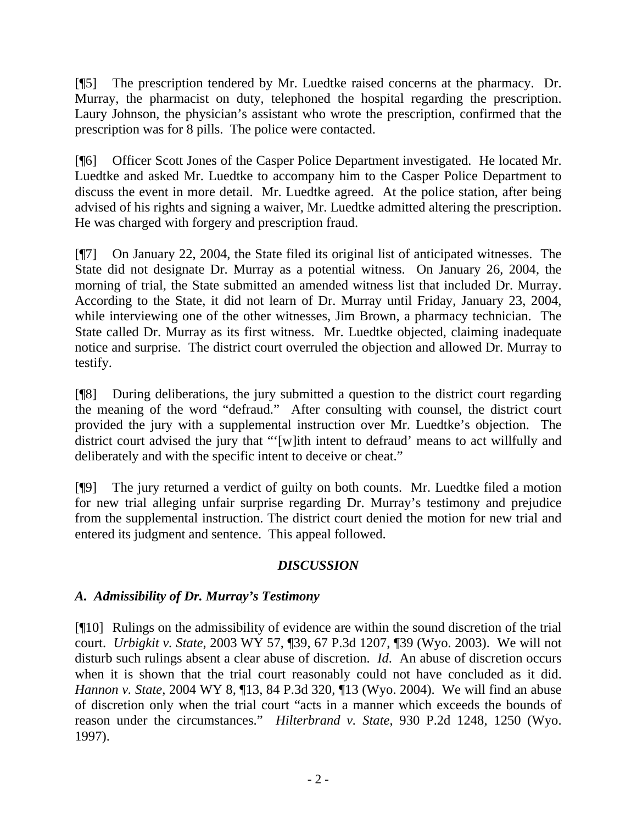[¶5] The prescription tendered by Mr. Luedtke raised concerns at the pharmacy. Dr. Murray, the pharmacist on duty, telephoned the hospital regarding the prescription. Laury Johnson, the physician's assistant who wrote the prescription, confirmed that the prescription was for 8 pills. The police were contacted.

[¶6] Officer Scott Jones of the Casper Police Department investigated. He located Mr. Luedtke and asked Mr. Luedtke to accompany him to the Casper Police Department to discuss the event in more detail. Mr. Luedtke agreed. At the police station, after being advised of his rights and signing a waiver, Mr. Luedtke admitted altering the prescription. He was charged with forgery and prescription fraud.

[¶7] On January 22, 2004, the State filed its original list of anticipated witnesses. The State did not designate Dr. Murray as a potential witness. On January 26, 2004, the morning of trial, the State submitted an amended witness list that included Dr. Murray. According to the State, it did not learn of Dr. Murray until Friday, January 23, 2004, while interviewing one of the other witnesses, Jim Brown, a pharmacy technician. The State called Dr. Murray as its first witness. Mr. Luedtke objected, claiming inadequate notice and surprise. The district court overruled the objection and allowed Dr. Murray to testify.

[¶8] During deliberations, the jury submitted a question to the district court regarding the meaning of the word "defraud." After consulting with counsel, the district court provided the jury with a supplemental instruction over Mr. Luedtke's objection. The district court advised the jury that "'[w]ith intent to defraud' means to act willfully and deliberately and with the specific intent to deceive or cheat."

[¶9] The jury returned a verdict of guilty on both counts. Mr. Luedtke filed a motion for new trial alleging unfair surprise regarding Dr. Murray's testimony and prejudice from the supplemental instruction. The district court denied the motion for new trial and entered its judgment and sentence. This appeal followed.

# *DISCUSSION*

# *A. Admissibility of Dr. Murray's Testimony*

[¶10] Rulings on the admissibility of evidence are within the sound discretion of the trial court. *Urbigkit v. State*, 2003 WY 57, ¶39, 67 P.3d 1207, ¶39 (Wyo. 2003). We will not disturb such rulings absent a clear abuse of discretion. *Id*. An abuse of discretion occurs when it is shown that the trial court reasonably could not have concluded as it did. *Hannon v. State*, 2004 WY 8, ¶13, 84 P.3d 320, ¶13 (Wyo. 2004). We will find an abuse of discretion only when the trial court "acts in a manner which exceeds the bounds of reason under the circumstances." *Hilterbrand v. State*, 930 P.2d 1248, 1250 (Wyo. 1997).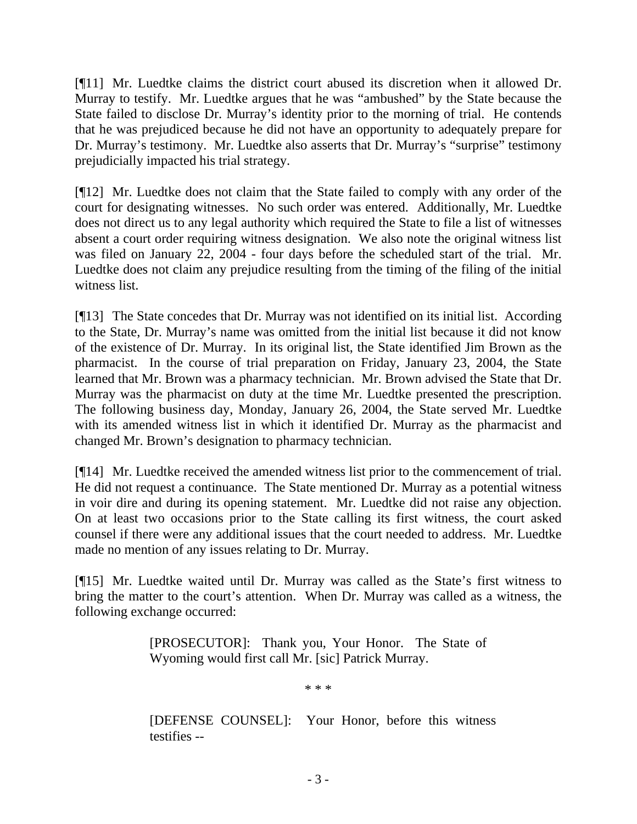[¶11] Mr. Luedtke claims the district court abused its discretion when it allowed Dr. Murray to testify. Mr. Luedtke argues that he was "ambushed" by the State because the State failed to disclose Dr. Murray's identity prior to the morning of trial. He contends that he was prejudiced because he did not have an opportunity to adequately prepare for Dr. Murray's testimony. Mr. Luedtke also asserts that Dr. Murray's "surprise" testimony prejudicially impacted his trial strategy.

[¶12] Mr. Luedtke does not claim that the State failed to comply with any order of the court for designating witnesses. No such order was entered. Additionally, Mr. Luedtke does not direct us to any legal authority which required the State to file a list of witnesses absent a court order requiring witness designation. We also note the original witness list was filed on January 22, 2004 - four days before the scheduled start of the trial. Mr. Luedtke does not claim any prejudice resulting from the timing of the filing of the initial witness list.

[¶13] The State concedes that Dr. Murray was not identified on its initial list. According to the State, Dr. Murray's name was omitted from the initial list because it did not know of the existence of Dr. Murray. In its original list, the State identified Jim Brown as the pharmacist. In the course of trial preparation on Friday, January 23, 2004, the State learned that Mr. Brown was a pharmacy technician. Mr. Brown advised the State that Dr. Murray was the pharmacist on duty at the time Mr. Luedtke presented the prescription. The following business day, Monday, January 26, 2004, the State served Mr. Luedtke with its amended witness list in which it identified Dr. Murray as the pharmacist and changed Mr. Brown's designation to pharmacy technician.

[¶14] Mr. Luedtke received the amended witness list prior to the commencement of trial. He did not request a continuance. The State mentioned Dr. Murray as a potential witness in voir dire and during its opening statement. Mr. Luedtke did not raise any objection. On at least two occasions prior to the State calling its first witness, the court asked counsel if there were any additional issues that the court needed to address. Mr. Luedtke made no mention of any issues relating to Dr. Murray.

[¶15] Mr. Luedtke waited until Dr. Murray was called as the State's first witness to bring the matter to the court's attention. When Dr. Murray was called as a witness, the following exchange occurred:

> [PROSECUTOR]: Thank you, Your Honor. The State of Wyoming would first call Mr. [sic] Patrick Murray.

> > \* \* \*

[DEFENSE COUNSEL]: Your Honor, before this witness testifies --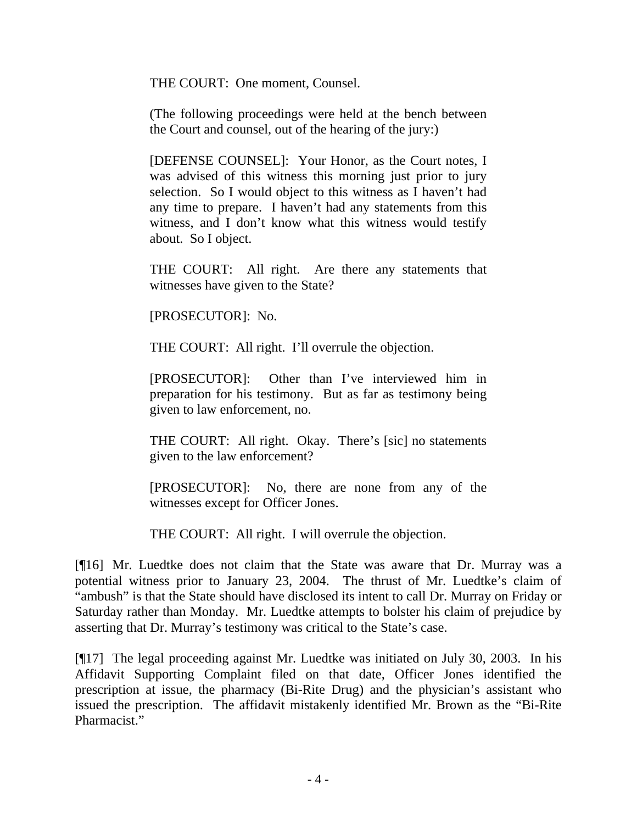THE COURT: One moment, Counsel.

(The following proceedings were held at the bench between the Court and counsel, out of the hearing of the jury:)

[DEFENSE COUNSEL]: Your Honor, as the Court notes, I was advised of this witness this morning just prior to jury selection.So I would object to this witness as I haven't had any time to prepare. I haven't had any statements from this witness, and I don't know what this witness would testify about. So I object.

THE COURT: All right. Are there any statements that witnesses have given to the State?

[PROSECUTOR]: No.

THE COURT: All right. I'll overrule the objection.

[PROSECUTOR]: Other than I've interviewed him in preparation for his testimony. But as far as testimony being given to law enforcement, no.

THE COURT: All right. Okay. There's [sic] no statements given to the law enforcement?

[PROSECUTOR]: No, there are none from any of the witnesses except for Officer Jones.

THE COURT: All right. I will overrule the objection.

[¶16] Mr. Luedtke does not claim that the State was aware that Dr. Murray was a potential witness prior to January 23, 2004. The thrust of Mr. Luedtke's claim of "ambush" is that the State should have disclosed its intent to call Dr. Murray on Friday or Saturday rather than Monday. Mr. Luedtke attempts to bolster his claim of prejudice by asserting that Dr. Murray's testimony was critical to the State's case.

[¶17] The legal proceeding against Mr. Luedtke was initiated on July 30, 2003. In his Affidavit Supporting Complaint filed on that date, Officer Jones identified the prescription at issue, the pharmacy (Bi-Rite Drug) and the physician's assistant who issued the prescription. The affidavit mistakenly identified Mr. Brown as the "Bi-Rite Pharmacist<sup>"</sup>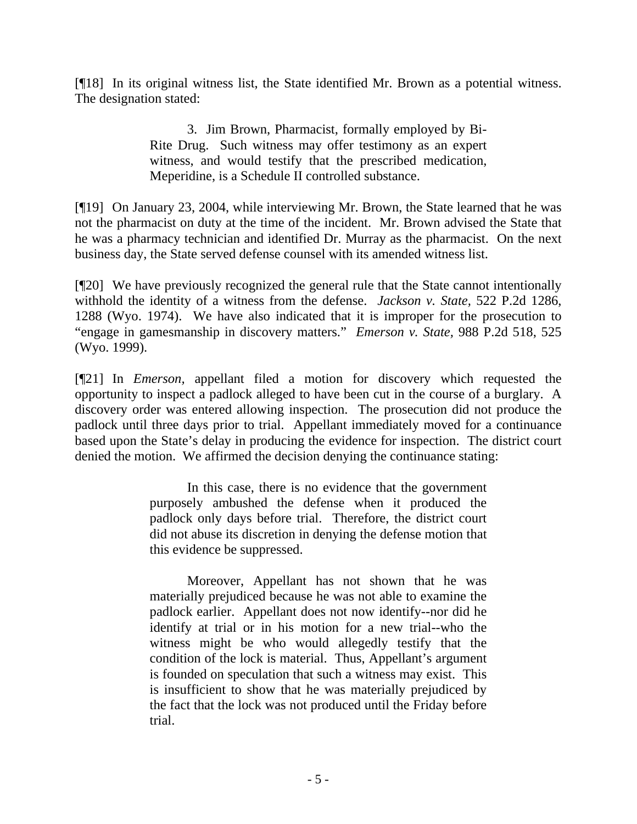[¶18] In its original witness list, the State identified Mr. Brown as a potential witness. The designation stated:

> 3. Jim Brown, Pharmacist, formally employed by Bi-Rite Drug. Such witness may offer testimony as an expert witness, and would testify that the prescribed medication, Meperidine, is a Schedule II controlled substance.

[¶19] On January 23, 2004, while interviewing Mr. Brown, the State learned that he was not the pharmacist on duty at the time of the incident. Mr. Brown advised the State that he was a pharmacy technician and identified Dr. Murray as the pharmacist. On the next business day, the State served defense counsel with its amended witness list.

[¶20] We have previously recognized the general rule that the State cannot intentionally withhold the identity of a witness from the defense. *Jackson v. State,* 522 P.2d 1286, 1288 (Wyo. 1974). We have also indicated that it is improper for the prosecution to "engage in gamesmanship in discovery matters." *Emerson v. State,* 988 P.2d 518, 525 (Wyo. 1999).

[¶21] In *Emerson,* appellant filed a motion for discovery which requested the opportunity to inspect a padlock alleged to have been cut in the course of a burglary. A discovery order was entered allowing inspection. The prosecution did not produce the padlock until three days prior to trial. Appellant immediately moved for a continuance based upon the State's delay in producing the evidence for inspection. The district court denied the motion. We affirmed the decision denying the continuance stating:

> In this case, there is no evidence that the government purposely ambushed the defense when it produced the padlock only days before trial. Therefore, the district court did not abuse its discretion in denying the defense motion that this evidence be suppressed.

> Moreover, Appellant has not shown that he was materially prejudiced because he was not able to examine the padlock earlier. Appellant does not now identify--nor did he identify at trial or in his motion for a new trial--who the witness might be who would allegedly testify that the condition of the lock is material. Thus, Appellant's argument is founded on speculation that such a witness may exist. This is insufficient to show that he was materially prejudiced by the fact that the lock was not produced until the Friday before trial.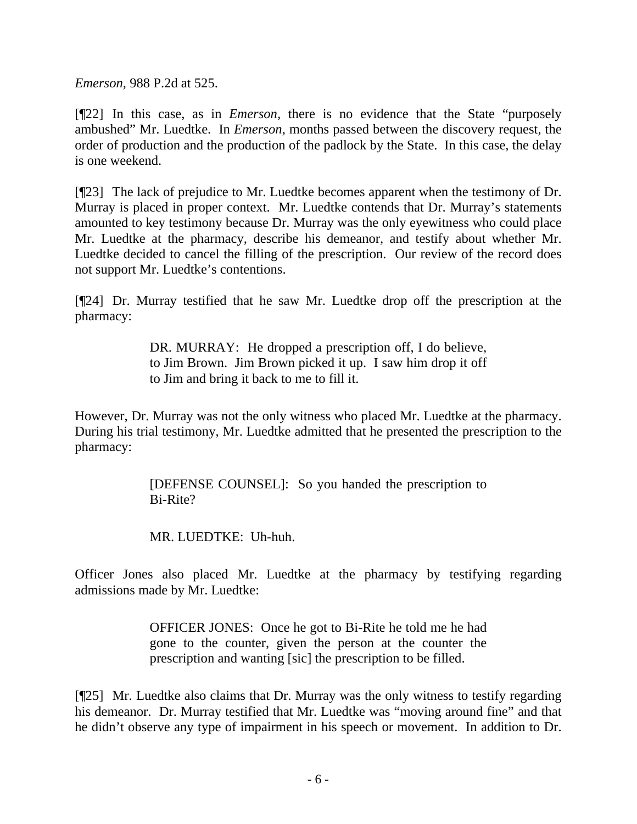*Emerson,* 988 P.2d at 525.

[¶22] In this case, as in *Emerson,* there is no evidence that the State "purposely ambushed" Mr. Luedtke. In *Emerson*, months passed between the discovery request, the order of production and the production of the padlock by the State. In this case, the delay is one weekend.

[¶23] The lack of prejudice to Mr. Luedtke becomes apparent when the testimony of Dr. Murray is placed in proper context. Mr. Luedtke contends that Dr. Murray's statements amounted to key testimony because Dr. Murray was the only eyewitness who could place Mr. Luedtke at the pharmacy, describe his demeanor, and testify about whether Mr. Luedtke decided to cancel the filling of the prescription. Our review of the record does not support Mr. Luedtke's contentions.

[¶24] Dr. Murray testified that he saw Mr. Luedtke drop off the prescription at the pharmacy:

> DR. MURRAY: He dropped a prescription off, I do believe, to Jim Brown. Jim Brown picked it up. I saw him drop it off to Jim and bring it back to me to fill it.

However, Dr. Murray was not the only witness who placed Mr. Luedtke at the pharmacy. During his trial testimony, Mr. Luedtke admitted that he presented the prescription to the pharmacy:

> [DEFENSE COUNSEL]: So you handed the prescription to Bi-Rite?

MR. LUEDTKE: Uh-huh.

Officer Jones also placed Mr. Luedtke at the pharmacy by testifying regarding admissions made by Mr. Luedtke:

> OFFICER JONES: Once he got to Bi-Rite he told me he had gone to the counter, given the person at the counter the prescription and wanting [sic] the prescription to be filled.

[¶25] Mr. Luedtke also claims that Dr. Murray was the only witness to testify regarding his demeanor. Dr. Murray testified that Mr. Luedtke was "moving around fine" and that he didn't observe any type of impairment in his speech or movement. In addition to Dr.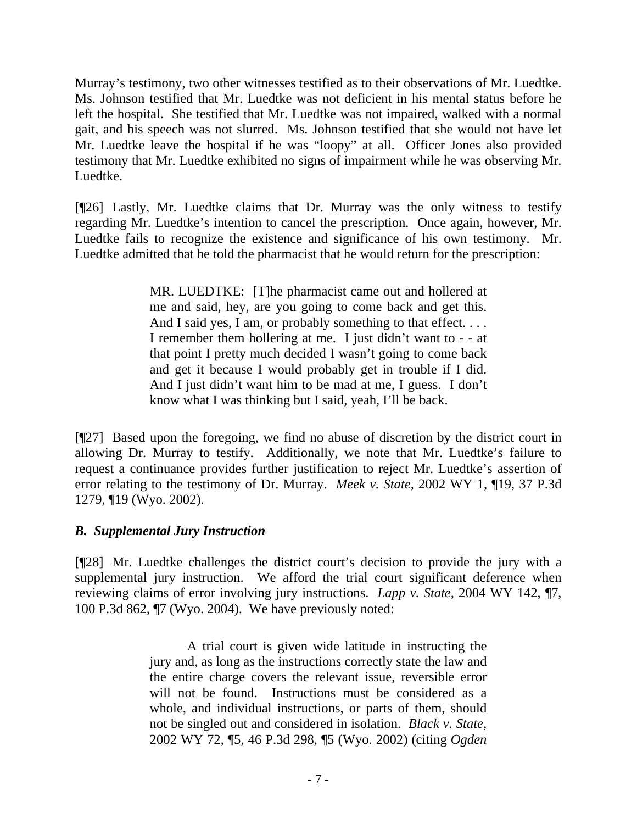Murray's testimony, two other witnesses testified as to their observations of Mr. Luedtke. Ms. Johnson testified that Mr. Luedtke was not deficient in his mental status before he left the hospital. She testified that Mr. Luedtke was not impaired, walked with a normal gait, and his speech was not slurred. Ms. Johnson testified that she would not have let Mr. Luedtke leave the hospital if he was "loopy" at all. Officer Jones also provided testimony that Mr. Luedtke exhibited no signs of impairment while he was observing Mr. Luedtke.

[¶26] Lastly, Mr. Luedtke claims that Dr. Murray was the only witness to testify regarding Mr. Luedtke's intention to cancel the prescription. Once again, however, Mr. Luedtke fails to recognize the existence and significance of his own testimony. Mr. Luedtke admitted that he told the pharmacist that he would return for the prescription:

> MR. LUEDTKE: [T]he pharmacist came out and hollered at me and said, hey, are you going to come back and get this. And I said yes, I am, or probably something to that effect. . . . I remember them hollering at me. I just didn't want to - - at that point I pretty much decided I wasn't going to come back and get it because I would probably get in trouble if I did. And I just didn't want him to be mad at me, I guess. I don't know what I was thinking but I said, yeah, I'll be back.

[¶27] Based upon the foregoing, we find no abuse of discretion by the district court in allowing Dr. Murray to testify. Additionally, we note that Mr. Luedtke's failure to request a continuance provides further justification to reject Mr. Luedtke's assertion of error relating to the testimony of Dr. Murray. *Meek v. State,* 2002 WY 1, ¶19, 37 P.3d 1279, ¶19 (Wyo. 2002).

## *B. Supplemental Jury Instruction*

[¶28] Mr. Luedtke challenges the district court's decision to provide the jury with a supplemental jury instruction. We afford the trial court significant deference when reviewing claims of error involving jury instructions. *Lapp v. State,* 2004 WY 142, ¶7, 100 P.3d 862, ¶7 (Wyo. 2004).We have previously noted:

> A trial court is given wide latitude in instructing the jury and, as long as the instructions correctly state the law and the entire charge covers the relevant issue, reversible error will not be found. Instructions must be considered as a whole, and individual instructions, or parts of them, should not be singled out and considered in isolation. *Black v. State*, 2002 WY 72, ¶5, 46 P.3d 298, ¶5 (Wyo. 2002) (citing *Ogden*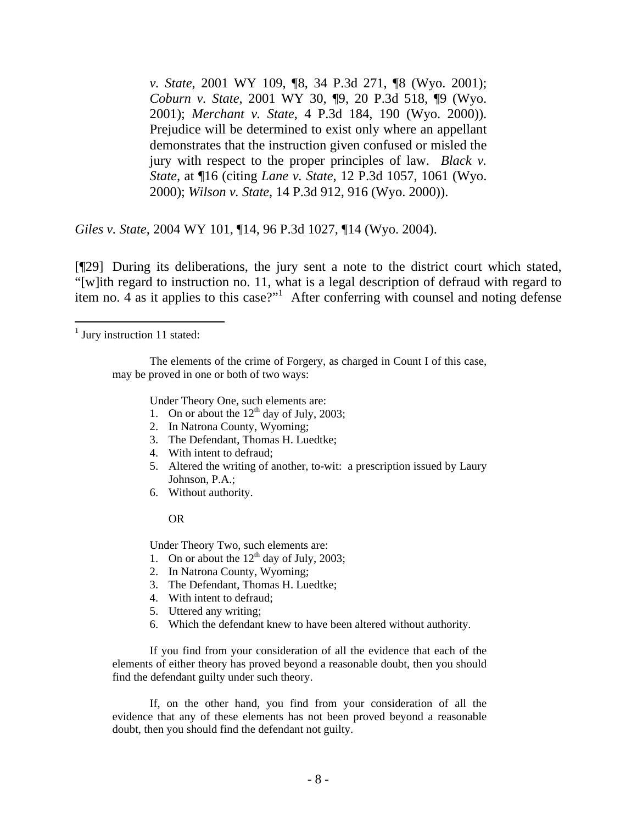*v. State*, 2001 WY 109, ¶8, 34 P.3d 271, ¶8 (Wyo. 2001); *Coburn v. State*, 2001 WY 30, ¶9, 20 P.3d 518, ¶9 (Wyo. 2001); *Merchant v. State*, 4 P.3d 184, 190 (Wyo. 2000)). Prejudice will be determined to exist only where an appellant demonstrates that the instruction given confused or misled the jury with respect to the proper principles of law. *Black v. State*, at ¶16 (citing *Lane v. State*, 12 P.3d 1057, 1061 (Wyo. 2000); *Wilson v. State*, 14 P.3d 912, 916 (Wyo. 2000)).

*Giles v. State*, 2004 WY 101, ¶14, 96 P.3d 1027, ¶14 (Wyo. 2004).

[¶29] During its deliberations, the jury sent a note to the district court which stated, "[w]ith regard to instruction no. 11, what is a legal description of defraud with regard to item no. 4 as it applies to this case?"<sup>[1](#page-8-0)</sup> After conferring with counsel and noting defense

The elements of the crime of Forgery, as charged in Count I of this case, may be proved in one or both of two ways:

Under Theory One, such elements are:

- 1. On or about the  $12<sup>th</sup>$  day of July, 2003;
- 2. In Natrona County, Wyoming;
- 3. The Defendant, Thomas H. Luedtke;
- 4. With intent to defraud;
- 5. Altered the writing of another, to-wit: a prescription issued by Laury Johnson, P.A.;
- 6. Without authority.

#### OR

Under Theory Two, such elements are:

- 1. On or about the  $12<sup>th</sup>$  day of July, 2003;
- 2. In Natrona County, Wyoming;
- 3. The Defendant, Thomas H. Luedtke;
- 4. With intent to defraud;
- 5. Uttered any writing;
- 6. Which the defendant knew to have been altered without authority.

If you find from your consideration of all the evidence that each of the elements of either theory has proved beyond a reasonable doubt, then you should find the defendant guilty under such theory.

If, on the other hand, you find from your consideration of all the evidence that any of these elements has not been proved beyond a reasonable doubt, then you should find the defendant not guilty.

<span id="page-8-0"></span><sup>&</sup>lt;sup>1</sup> Jury instruction 11 stated: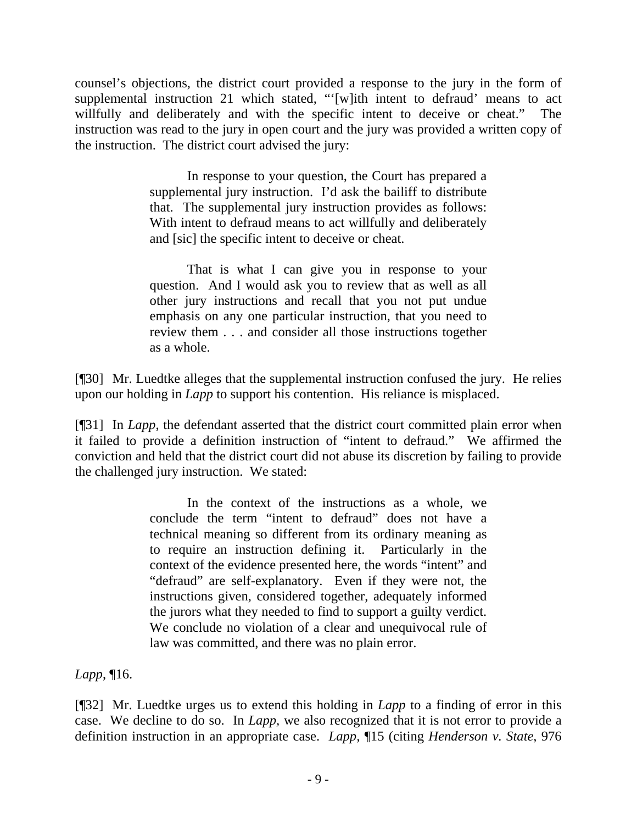counsel's objections, the district court provided a response to the jury in the form of supplemental instruction 21 which stated, "'[w]ith intent to defraud' means to act willfully and deliberately and with the specific intent to deceive or cheat." The instruction was read to the jury in open court and the jury was provided a written copy of the instruction. The district court advised the jury:

> In response to your question, the Court has prepared a supplemental jury instruction. I'd ask the bailiff to distribute that. The supplemental jury instruction provides as follows: With intent to defraud means to act willfully and deliberately and [sic] the specific intent to deceive or cheat.

> That is what I can give you in response to your question. And I would ask you to review that as well as all other jury instructions and recall that you not put undue emphasis on any one particular instruction, that you need to review them . . . and consider all those instructions together as a whole.

[¶30] Mr. Luedtke alleges that the supplemental instruction confused the jury. He relies upon our holding in *Lapp* to support his contention. His reliance is misplaced.

[¶31] In *Lapp*, the defendant asserted that the district court committed plain error when it failed to provide a definition instruction of "intent to defraud." We affirmed the conviction and held that the district court did not abuse its discretion by failing to provide the challenged jury instruction. We stated:

> In the context of the instructions as a whole, we conclude the term "intent to defraud" does not have a technical meaning so different from its ordinary meaning as to require an instruction defining it. Particularly in the context of the evidence presented here, the words "intent" and "defraud" are self-explanatory. Even if they were not, the instructions given, considered together, adequately informed the jurors what they needed to find to support a guilty verdict. We conclude no violation of a clear and unequivocal rule of law was committed, and there was no plain error.

*Lapp*, ¶16.

[¶32] Mr. Luedtke urges us to extend this holding in *Lapp* to a finding of error in this case. We decline to do so. In *Lapp,* we also recognized that it is not error to provide a definition instruction in an appropriate case. *Lapp,* ¶15 (citing *Henderson v. State*, 976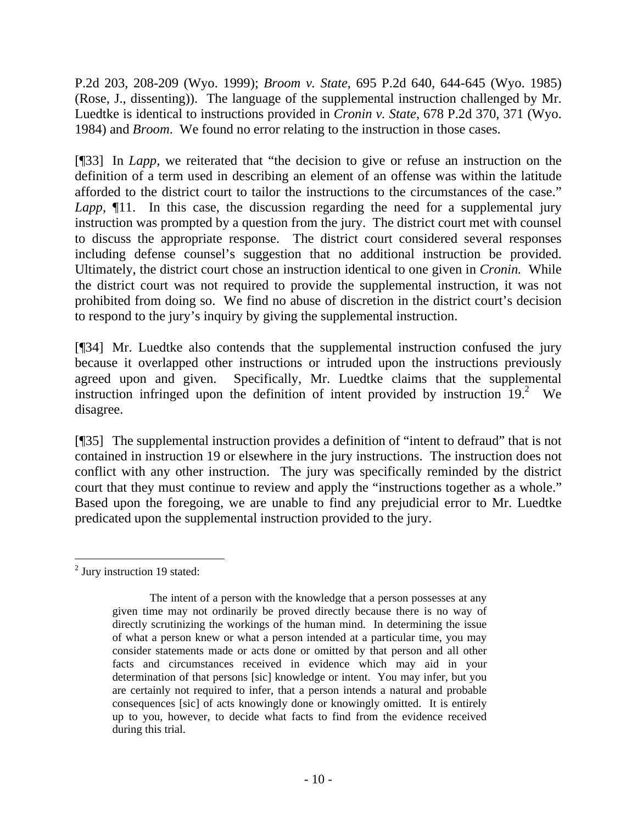P.2d 203, 208-209 (Wyo. 1999); *Broom v. State*, 695 P.2d 640, 644-645 (Wyo. 1985) (Rose, J., dissenting)). The language of the supplemental instruction challenged by Mr. Luedtke is identical to instructions provided in *Cronin v. State*, 678 P.2d 370, 371 (Wyo. 1984) and *Broom*. We found no error relating to the instruction in those cases.

[¶33] In *Lapp,* we reiterated that "the decision to give or refuse an instruction on the definition of a term used in describing an element of an offense was within the latitude afforded to the district court to tailor the instructions to the circumstances of the case." *Lapp*,  $\P$ 11. In this case, the discussion regarding the need for a supplemental jury instruction was prompted by a question from the jury. The district court met with counsel to discuss the appropriate response. The district court considered several responses including defense counsel's suggestion that no additional instruction be provided. Ultimately, the district court chose an instruction identical to one given in *Cronin.* While the district court was not required to provide the supplemental instruction, it was not prohibited from doing so. We find no abuse of discretion in the district court's decision to respond to the jury's inquiry by giving the supplemental instruction.

[¶34] Mr. Luedtke also contends that the supplemental instruction confused the jury because it overlapped other instructions or intruded upon the instructions previously agreed upon and given. Specifically, Mr. Luedtke claims that the supplemental instruction infringed upon the definition of intent provided by instruction  $19.<sup>2</sup>$  $19.<sup>2</sup>$  $19.<sup>2</sup>$  We disagree.

[¶35] The supplemental instruction provides a definition of "intent to defraud" that is not contained in instruction 19 or elsewhere in the jury instructions. The instruction does not conflict with any other instruction. The jury was specifically reminded by the district court that they must continue to review and apply the "instructions together as a whole." Based upon the foregoing, we are unable to find any prejudicial error to Mr. Luedtke predicated upon the supplemental instruction provided to the jury.

<span id="page-10-0"></span>  $<sup>2</sup>$  Jury instruction 19 stated:</sup>

The intent of a person with the knowledge that a person possesses at any given time may not ordinarily be proved directly because there is no way of directly scrutinizing the workings of the human mind. In determining the issue of what a person knew or what a person intended at a particular time, you may consider statements made or acts done or omitted by that person and all other facts and circumstances received in evidence which may aid in your determination of that persons [sic] knowledge or intent. You may infer, but you are certainly not required to infer, that a person intends a natural and probable consequences [sic] of acts knowingly done or knowingly omitted. It is entirely up to you, however, to decide what facts to find from the evidence received during this trial.